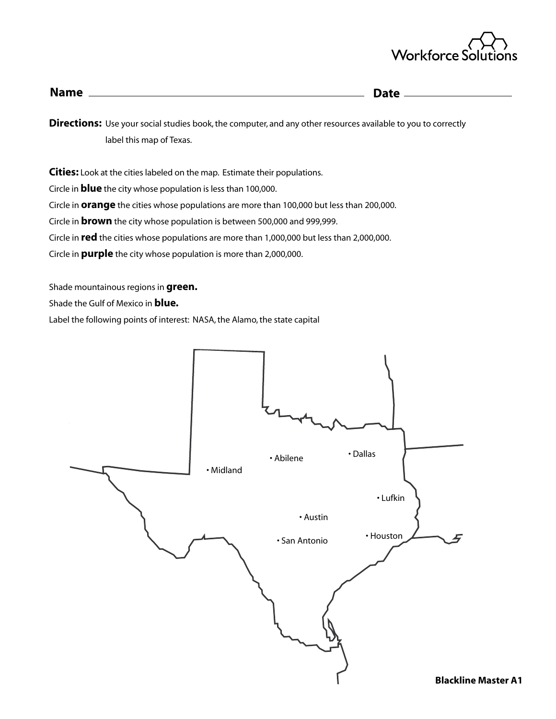

| <b>Name</b> | <b>Date</b> |
|-------------|-------------|
|             |             |
|             |             |

**Directions:** Use your social studies book, the computer, and any other resources available to you to correctly label this map of Texas.

**Cities:** Look at the cities labeled on the map. Estimate their populations.

Circle in **blue** the city whose population is less than 100,000.

Circle in **orange** the cities whose populations are more than 100,000 but less than 200,000.

Circle in **brown** the city whose population is between 500,000 and 999,999.

Circle in **red** the cities whose populations are more than 1,000,000 but less than 2,000,000.

Circle in **purple** the city whose population is more than 2,000,000.

Shade mountainous regions in **green.**

Shade the Gulf of Mexico in **blue.**

Label the following points of interest: NASA, the Alamo, the state capital

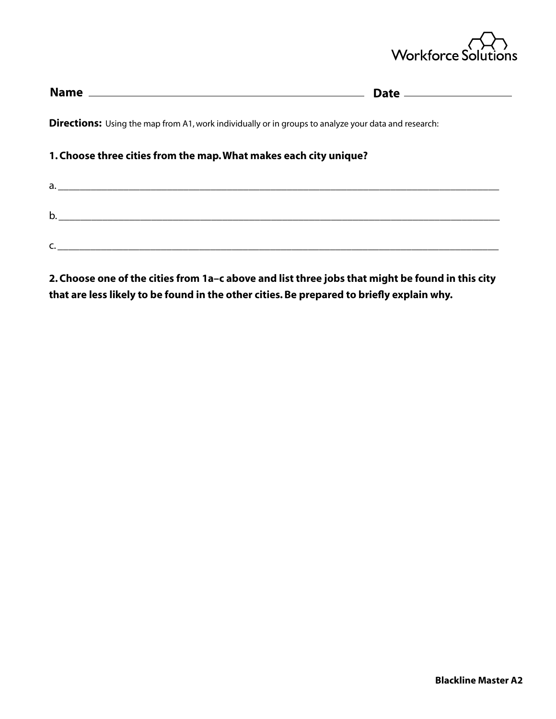

| <b>Directions:</b> Using the map from A1, work individually or in groups to analyze your data and research: |    |
|-------------------------------------------------------------------------------------------------------------|----|
| 1. Choose three cities from the map. What makes each city unique?                                           |    |
|                                                                                                             | a. |
|                                                                                                             | b. |
|                                                                                                             |    |
|                                                                                                             |    |

**2. Choose one of the cities from 1a–c above and list three jobs that might be found in this city that are less likely to be found in the other cities. Be prepared to briefly explain why.**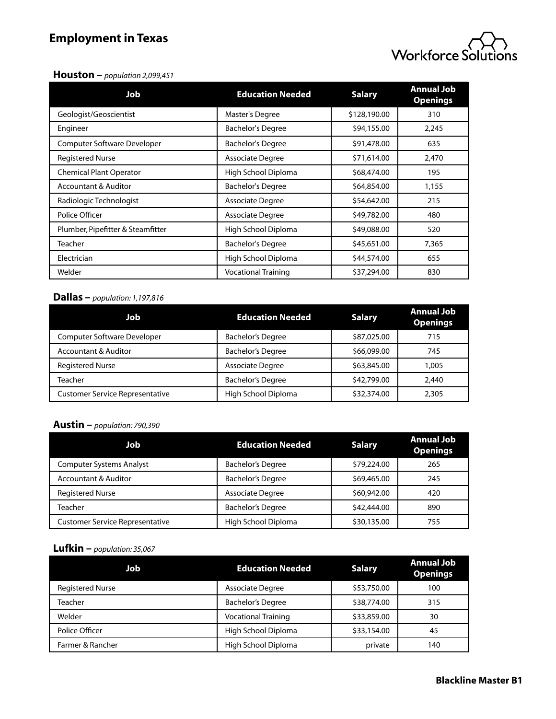# **Employment in Texas**



#### **Houston –** *population 2,099,451*

| <b>Job</b>                        | <b>Education Needed</b>    | <b>Salary</b> | <b>Annual Job</b><br><b>Openings</b> |
|-----------------------------------|----------------------------|---------------|--------------------------------------|
| Geologist/Geoscientist            | Master's Degree            | \$128,190.00  | 310                                  |
| Engineer                          | <b>Bachelor's Degree</b>   | \$94,155.00   | 2,245                                |
| Computer Software Developer       | <b>Bachelor's Degree</b>   | \$91,478.00   | 635                                  |
| <b>Registered Nurse</b>           | <b>Associate Degree</b>    | \$71,614.00   | 2,470                                |
| <b>Chemical Plant Operator</b>    | High School Diploma        | \$68,474.00   | 195                                  |
| <b>Accountant &amp; Auditor</b>   | <b>Bachelor's Degree</b>   | \$64,854.00   | 1,155                                |
| Radiologic Technologist           | <b>Associate Degree</b>    | \$54,642.00   | 215                                  |
| Police Officer                    | <b>Associate Degree</b>    | \$49,782.00   | 480                                  |
| Plumber, Pipefitter & Steamfitter | High School Diploma        | \$49,088.00   | 520                                  |
| <b>Teacher</b>                    | <b>Bachelor's Degree</b>   | \$45,651.00   | 7,365                                |
| Electrician                       | High School Diploma        | \$44,574.00   | 655                                  |
| Welder                            | <b>Vocational Training</b> | \$37,294.00   | 830                                  |

### **Dallas –** *population: 1,197,816*

| Job                                    | <b>Education Needed</b>  | <b>Salary</b> | <b>Annual Job</b><br><b>Openings</b> |
|----------------------------------------|--------------------------|---------------|--------------------------------------|
| <b>Computer Software Developer</b>     | <b>Bachelor's Degree</b> | \$87,025.00   | 715                                  |
| <b>Accountant &amp; Auditor</b>        | <b>Bachelor's Degree</b> | \$66,099.00   | 745                                  |
| <b>Registered Nurse</b>                | Associate Degree         | \$63,845.00   | 1.005                                |
| Teacher                                | <b>Bachelor's Degree</b> | \$42,799.00   | 2,440                                |
| <b>Customer Service Representative</b> | High School Diploma      | \$32,374.00   | 2,305                                |

### **Austin –** *population: 790,390*

| Job                                    | <b>Education Needed</b>  | <b>Salary</b> | <b>Annual Job</b><br><b>Openings</b> |
|----------------------------------------|--------------------------|---------------|--------------------------------------|
| <b>Computer Systems Analyst</b>        | <b>Bachelor's Degree</b> | \$79,224.00   | 265                                  |
| <b>Accountant &amp; Auditor</b>        | <b>Bachelor's Degree</b> | \$69,465.00   | 245                                  |
| <b>Registered Nurse</b>                | <b>Associate Degree</b>  | \$60,942.00   | 420                                  |
| Teacher                                | <b>Bachelor's Degree</b> | \$42,444.00   | 890                                  |
| <b>Customer Service Representative</b> | High School Diploma      | \$30,135.00   | 755                                  |

## **Lufkin –** *population: 35,067*

| Job                     | <b>Education Needed</b>    | <b>Salary</b> | <b>Annual Job</b><br><b>Openings</b> |
|-------------------------|----------------------------|---------------|--------------------------------------|
| <b>Registered Nurse</b> | Associate Degree           | \$53,750.00   | 100                                  |
| Teacher                 | <b>Bachelor's Degree</b>   | \$38,774.00   | 315                                  |
| Welder                  | <b>Vocational Training</b> | \$33,859.00   | 30                                   |
| Police Officer          | High School Diploma        | \$33,154.00   | 45                                   |
| Farmer & Rancher        | High School Diploma        | private       | 140                                  |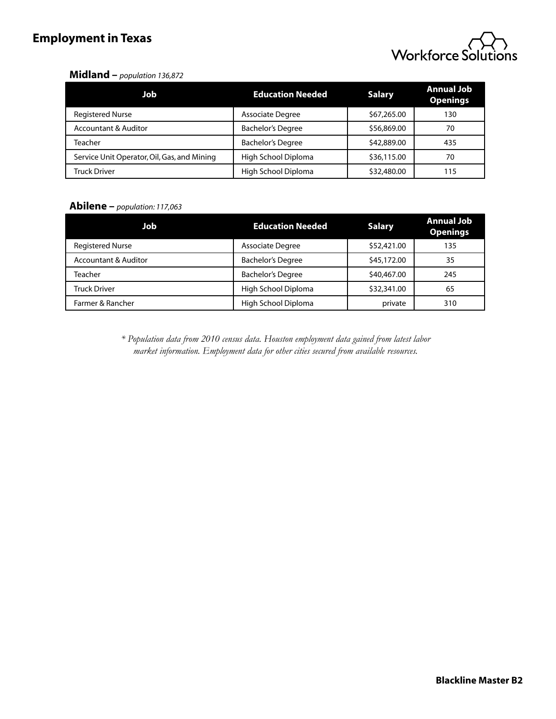# **Employment in Texas**



### **Midland –** *population 136,872*

| Job                                         | <b>Education Needed</b>  | <b>Salary</b> | <b>Annual Job</b><br><b>Openings</b> |
|---------------------------------------------|--------------------------|---------------|--------------------------------------|
| <b>Registered Nurse</b>                     | <b>Associate Degree</b>  | \$67,265.00   | 130                                  |
| <b>Accountant &amp; Auditor</b>             | <b>Bachelor's Degree</b> | \$56,869.00   | 70                                   |
| Teacher                                     | <b>Bachelor's Degree</b> | \$42,889.00   | 435                                  |
| Service Unit Operator, Oil, Gas, and Mining | High School Diploma      | \$36,115.00   | 70                                   |
| <b>Truck Driver</b>                         | High School Diploma      | \$32,480.00   | 115                                  |

### **Abilene –** *population: 117,063*

| Job                             | <b>Education Needed</b>  | <b>Salary</b> | <b>Annual Job</b><br><b>Openings</b> |
|---------------------------------|--------------------------|---------------|--------------------------------------|
| <b>Registered Nurse</b>         | Associate Degree         | \$52,421.00   | 135                                  |
| <b>Accountant &amp; Auditor</b> | <b>Bachelor's Degree</b> | \$45,172.00   | 35                                   |
| Teacher                         | <b>Bachelor's Degree</b> | \$40,467.00   | 245                                  |
| <b>Truck Driver</b>             | High School Diploma      | \$32,341.00   | 65                                   |
| Farmer & Rancher                | High School Diploma      | private       | 310                                  |

*\* Population data from 2010 census data. Houston employment data gained from latest labor market information. Employment data for other cities secured from available resources.*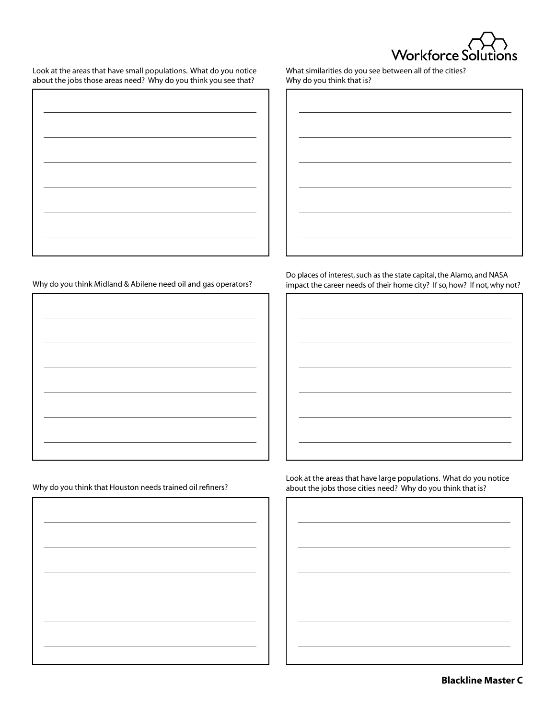

Look at the areas that have small populations. What do you notice about the jobs those areas need? Why do you think you see that?

What similarities do you see between all of the cities? Why do you think that is?

| bout the jobs those areas need: $\bm{v}$ rify do you think you see that: |
|--------------------------------------------------------------------------|
|                                                                          |
|                                                                          |
|                                                                          |
|                                                                          |
|                                                                          |
|                                                                          |
|                                                                          |
|                                                                          |
|                                                                          |
|                                                                          |
|                                                                          |
|                                                                          |
|                                                                          |
|                                                                          |
|                                                                          |
|                                                                          |
|                                                                          |
|                                                                          |
|                                                                          |

Why do you think Midland & Abilene need oil and gas operators?

Why do you think that Houston needs trained oil refiners?

Do places of interest, such as the state capital, the Alamo, and NASA impact the career needs of their home city? If so, how? If not, why not?

Look at the areas that have large populations. What do you notice about the jobs those cities need? Why do you think that is?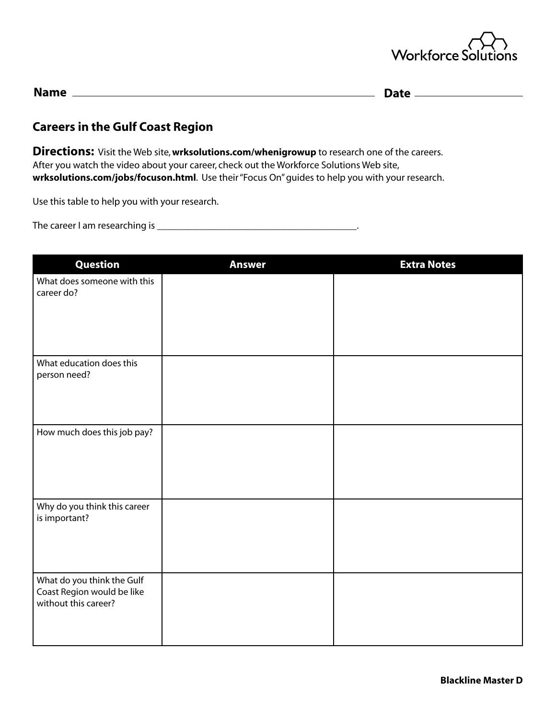

| <b>Name</b> | JAI P |
|-------------|-------|
|             | ---   |

## **Careers in the Gulf Coast Region**

**Directions:** Visit the Web site, **wrksolutions.com/whenigrowup** to research one of the careers. After you watch the video about your career, check out the Workforce Solutions Web site, **wrksolutions.com/jobs/focuson.html**. Use their "Focus On" guides to help you with your research.

Use this table to help you with your research.

The career I am researching is \_\_\_\_\_\_\_\_\_\_\_\_\_\_\_\_\_\_\_\_\_\_\_\_\_\_\_\_\_\_\_\_\_\_\_\_\_\_\_\_.

| <b>Question</b>                                                                  | <b>Answer</b> | <b>Extra Notes</b> |
|----------------------------------------------------------------------------------|---------------|--------------------|
| What does someone with this<br>career do?                                        |               |                    |
| What education does this<br>person need?                                         |               |                    |
| How much does this job pay?                                                      |               |                    |
| Why do you think this career<br>is important?                                    |               |                    |
| What do you think the Gulf<br>Coast Region would be like<br>without this career? |               |                    |